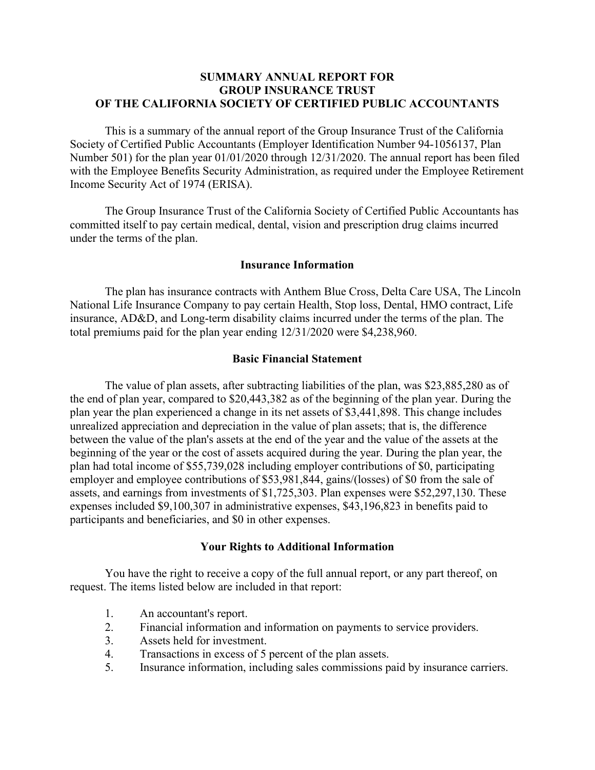# **SUMMARY ANNUAL REPORT FOR GROUP INSURANCE TRUST OF THE CALIFORNIA SOCIETY OF CERTIFIED PUBLIC ACCOUNTANTS**

This is a summary of the annual report of the Group Insurance Trust of the California Society of Certified Public Accountants (Employer Identification Number 94-1056137, Plan Number 501) for the plan year 01/01/2020 through 12/31/2020. The annual report has been filed with the Employee Benefits Security Administration, as required under the Employee Retirement Income Security Act of 1974 (ERISA).

The Group Insurance Trust of the California Society of Certified Public Accountants has committed itself to pay certain medical, dental, vision and prescription drug claims incurred under the terms of the plan.

# **Insurance Information**

The plan has insurance contracts with Anthem Blue Cross, Delta Care USA, The Lincoln National Life Insurance Company to pay certain Health, Stop loss, Dental, HMO contract, Life insurance, AD&D, and Long-term disability claims incurred under the terms of the plan. The total premiums paid for the plan year ending 12/31/2020 were \$4,238,960.

## **Basic Financial Statement**

The value of plan assets, after subtracting liabilities of the plan, was \$23,885,280 as of the end of plan year, compared to \$20,443,382 as of the beginning of the plan year. During the plan year the plan experienced a change in its net assets of \$3,441,898. This change includes unrealized appreciation and depreciation in the value of plan assets; that is, the difference between the value of the plan's assets at the end of the year and the value of the assets at the beginning of the year or the cost of assets acquired during the year. During the plan year, the plan had total income of \$55,739,028 including employer contributions of \$0, participating employer and employee contributions of \$53,981,844, gains/(losses) of \$0 from the sale of assets, and earnings from investments of \$1,725,303. Plan expenses were \$52,297,130. These expenses included \$9,100,307 in administrative expenses, \$43,196,823 in benefits paid to participants and beneficiaries, and \$0 in other expenses.

### **Your Rights to Additional Information**

You have the right to receive a copy of the full annual report, or any part thereof, on request. The items listed below are included in that report:

- 1. An accountant's report.
- 2. Financial information and information on payments to service providers.
- 3. Assets held for investment.
- 4. Transactions in excess of 5 percent of the plan assets.
- 5. Insurance information, including sales commissions paid by insurance carriers.